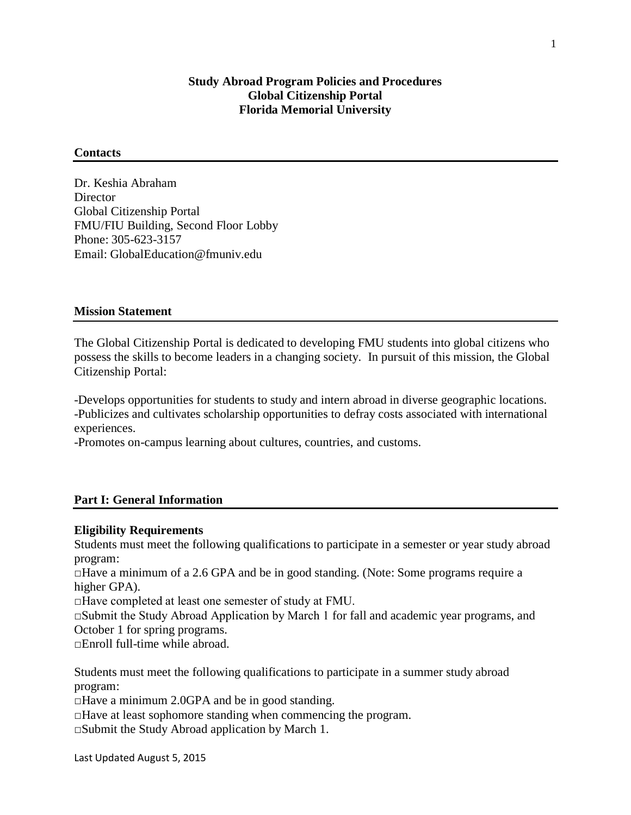## **Study Abroad Program Policies and Procedures Global Citizenship Portal Florida Memorial University**

## **Contacts**

Dr. Keshia Abraham **Director** Global Citizenship Portal FMU/FIU Building, Second Floor Lobby Phone: 305-623-3157 Email: GlobalEducation@fmuniv.edu

## **Mission Statement**

The Global Citizenship Portal is dedicated to developing FMU students into global citizens who possess the skills to become leaders in a changing society. In pursuit of this mission, the Global Citizenship Portal:

-Develops opportunities for students to study and intern abroad in diverse geographic locations. -Publicizes and cultivates scholarship opportunities to defray costs associated with international experiences.

-Promotes on-campus learning about cultures, countries, and customs.

## **Part I: General Information**

#### **Eligibility Requirements**

Students must meet the following qualifications to participate in a semester or year study abroad program:

 $\Box$  Have a minimum of a 2.6 GPA and be in good standing. (Note: Some programs require a higher GPA).

□Have completed at least one semester of study at FMU.

□Submit the Study Abroad Application by March 1 for fall and academic year programs, and October 1 for spring programs.

 $\Box$  Enroll full-time while abroad.

Students must meet the following qualifications to participate in a summer study abroad program:

 $\Box$  Have a minimum 2.0GPA and be in good standing.

 $\Box$  Have at least sophomore standing when commencing the program.

 $\square$ Submit the Study Abroad application by March 1.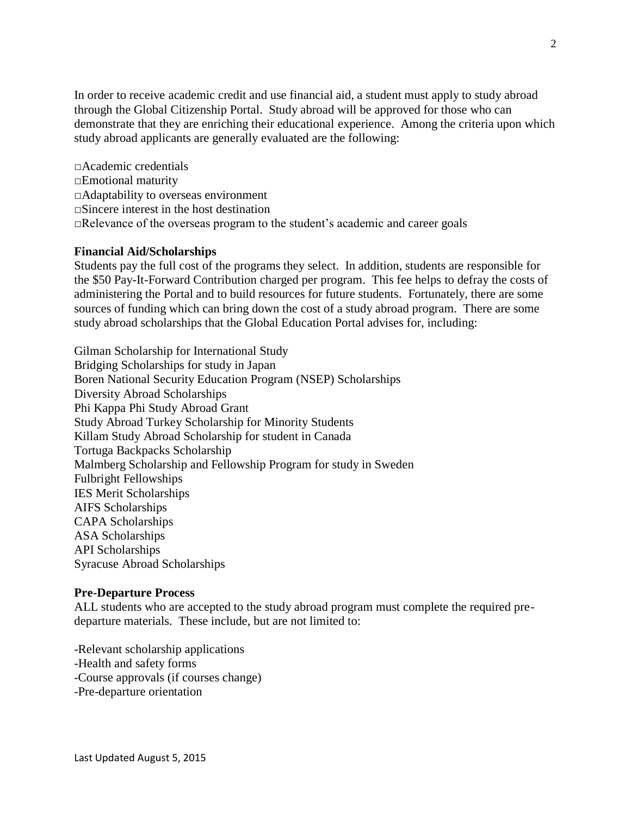In order to receive academic credit and use financial aid, a student must apply to study abroad through the Global Citizenship Portal. Study abroad will be approved for those who can demonstrate that they are enriching their educational experience. Among the criteria upon which study abroad applicants are generally evaluated are the following:

□Academic credentials □Emotional maturity □Adaptability to overseas environment □Sincere interest in the host destination  $\Box$ Relevance of the overseas program to the student's academic and career goals

## **Financial Aid/Scholarships**

Students pay the full cost of the programs they select. In addition, students are responsible for the \$50 Pay-It-Forward Contribution charged per program. This fee helps to defray the costs of administering the Portal and to build resources for future students. Fortunately, there are some sources of funding which can bring down the cost of a study abroad program. There are some study abroad scholarships that the Global Education Portal advises for, including:

Gilman Scholarship for International Study Bridging Scholarships for study in Japan Boren National Security Education Program (NSEP) Scholarships Diversity Abroad Scholarships Phi Kappa Phi Study Abroad Grant Study Abroad Turkey Scholarship for Minority Students Killam Study Abroad Scholarship for student in Canada Tortuga Backpacks Scholarship Malmberg Scholarship and Fellowship Program for study in Sweden Fulbright Fellowships IES Merit Scholarships AIFS Scholarships CAPA Scholarships ASA Scholarships API Scholarships Syracuse Abroad Scholarships

#### **Pre-Departure Process**

ALL students who are accepted to the study abroad program must complete the required predeparture materials. These include, but are not limited to:

-Relevant scholarship applications -Health and safety forms -Course approvals (if courses change) -Pre-departure orientation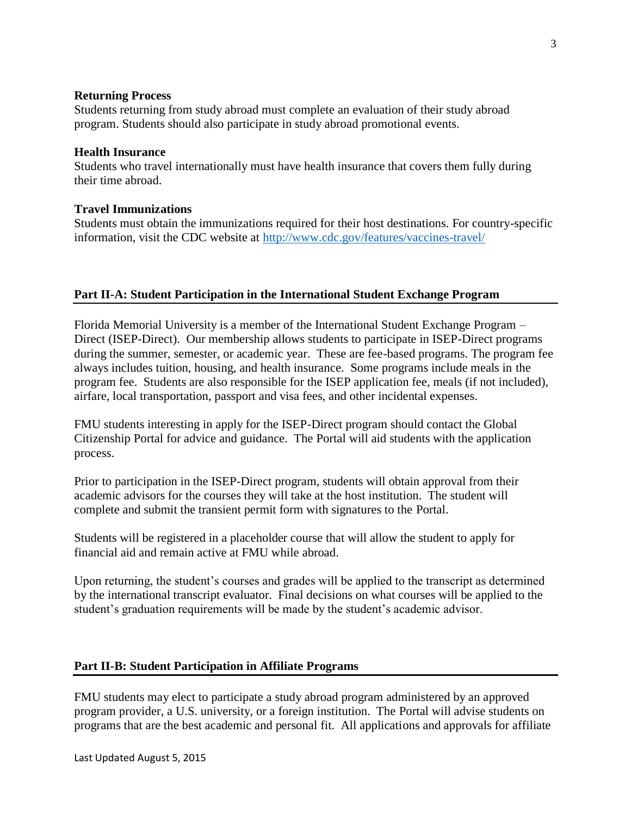#### **Returning Process**

Students returning from study abroad must complete an evaluation of their study abroad program. Students should also participate in study abroad promotional events.

#### **Health Insurance**

Students who travel internationally must have health insurance that covers them fully during their time abroad.

## **Travel Immunizations**

Students must obtain the immunizations required for their host destinations. For country-specific information, visit the CDC website at<http://www.cdc.gov/features/vaccines-travel/>

## **Part II-A: Student Participation in the International Student Exchange Program**

Florida Memorial University is a member of the International Student Exchange Program – Direct (ISEP-Direct). Our membership allows students to participate in ISEP-Direct programs during the summer, semester, or academic year. These are fee-based programs. The program fee always includes tuition, housing, and health insurance. Some programs include meals in the program fee. Students are also responsible for the ISEP application fee, meals (if not included), airfare, local transportation, passport and visa fees, and other incidental expenses.

FMU students interesting in apply for the ISEP-Direct program should contact the Global Citizenship Portal for advice and guidance. The Portal will aid students with the application process.

Prior to participation in the ISEP-Direct program, students will obtain approval from their academic advisors for the courses they will take at the host institution. The student will complete and submit the transient permit form with signatures to the Portal.

Students will be registered in a placeholder course that will allow the student to apply for financial aid and remain active at FMU while abroad.

Upon returning, the student's courses and grades will be applied to the transcript as determined by the international transcript evaluator. Final decisions on what courses will be applied to the student's graduation requirements will be made by the student's academic advisor.

#### **Part II-B: Student Participation in Affiliate Programs**

FMU students may elect to participate a study abroad program administered by an approved program provider, a U.S. university, or a foreign institution. The Portal will advise students on programs that are the best academic and personal fit. All applications and approvals for affiliate